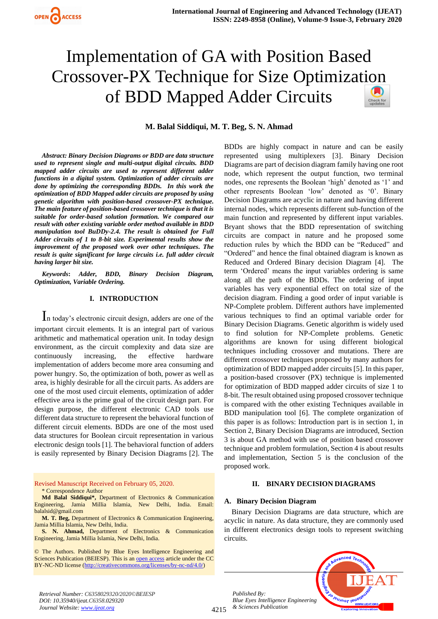# Implementation of GA with Position Based Crossover-PX Technique for Size Optimizat[ion](https://crossmark.crossref.org/dialog/?doi=10.35940/ijeat.C6358.029320&domain=www.ijeat.org)  of BDD Mapped Adder Circuits

## **M. Balal Siddiqui, M. T. Beg, S. N. Ahmad**

*Abstract: Binary Decision Diagrams or BDD are data structure used to represent single and multi-output digital circuits. BDD mapped adder circuits are used to represent different adder functions in a digital system. Optimization of adder circuits are done by optimizing the corresponding BDDs. In this work the optimization of BDD Mapped adder circuits are proposed by using genetic algorithm with position-based crossover-PX technique. The main feature of position-based crossover technique is that it is suitable for order-based solution formation. We compared our result with other existing variable order method available in BDD manipulation tool BuDDy-2.4. The result is obtained for Full Adder circuits of 1 to 8-bit size. Experimental results show the improvement of the proposed work over other techniques. The result is quite significant for large circuits i.e. full adder circuit having larger bit size.*

*Keywords***:** *Adder, BDD, Binary Decision Diagram, Optimization, Variable Ordering.* 

## **I. INTRODUCTION**

In today's electronic circuit design, adders are one of the important circuit elements. It is an integral part of various arithmetic and mathematical operation unit. In today design environment, as the circuit complexity and data size are continuously increasing, the effective hardware implementation of adders become more area consuming and power hungry. So, the optimization of both, power as well as area, is highly desirable for all the circuit parts. As adders are one of the most used circuit elements, optimization of adder effective area is the prime goal of the circuit design part. For design purpose, the different electronic CAD tools use different data structure to represent the behavioral function of different circuit elements. BDDs are one of the most used data structures for Boolean circuit representation in various electronic design tools [1]. The behavioral function of adders is easily represented by Binary Decision Diagrams [2]. The

Revised Manuscript Received on February 05, 2020. \* Correspondence Author

**Md Balal Siddiqui\*,** Department of Electronics & Communication Engineering, Jamia Millia Islamia, New Delhi, India. Email: balalsid@gmail.com

**M. T. Beg,** Department of Electronics & Communication Engineering, Jamia Millia Islamia, New Delhi, India.

**S. N. Ahmad,** Department of Electronics & Communication Engineering, Jamia Millia Islamia, New Delhi, India.

© The Authors. Published by Blue Eyes Intelligence Engineering and Sciences Publication (BEIESP). This is a[n open access](https://www.openaccess.nl/en/open-publications) article under the CC BY-NC-ND license [\(http://creativecommons.org/licenses/by-nc-nd/4.0/\)](http://creativecommons.org/licenses/by-nc-nd/4.0/)

BDDs are highly compact in nature and can be easily represented using multiplexers [3]. Binary Decision Diagrams are part of decision diagram family having one root node, which represent the output function, two terminal nodes, one represents the Boolean 'high' denoted as '1' and other represents Boolean 'low' denoted as '0'. Binary Decision Diagrams are acyclic in nature and having different internal nodes, which represents different sub-function of the main function and represented by different input variables. Bryant shows that the BDD representation of switching circuits are compact in nature and he proposed some reduction rules by which the BDD can be "Reduced" and "Ordered" and hence the final obtained diagram is known as Reduced and Ordered Binary decision Diagram [4]. The term 'Ordered' means the input variables ordering is same along all the path of the BDDs. The ordering of input variables has very exponential effect on total size of the decision diagram. Finding a good order of input variable is NP-Complete problem. Different authors have implemented various techniques to find an optimal variable order for Binary Decision Diagrams. Genetic algorithm is widely used to find solution for NP-Complete problems. Genetic algorithms are known for using different biological techniques including crossover and mutations. There are different crossover techniques proposed by many authors for optimization of BDD mapped adder circuits [5]. In this paper, a position-based crossover (PX) technique is implemented for optimization of BDD mapped adder circuits of size 1 to 8-bit. The result obtained using proposed crossover technique is compared with the other existing Techniques available in BDD manipulation tool [6]. The complete organization of this paper is as follows: Introduction part is in section 1, in Section 2, Binary Decision Diagrams are introduced, Section 3 is about GA method with use of position based crossover technique and problem formulation, Section 4 is about results and implementation, Section 5 is the conclusion of the proposed work.

#### **II. BINARY DECISION DIAGRAMS**

### **A. Binary Decision Diagram**

Binary Decision Diagrams are data structure, which are acyclic in nature. As data structure, they are commonly used in different electronics design tools to represent switching circuits.

*Published By: Blue Eyes Intelligence Engineering & Sciences Publication* 



*Retrieval Number: C6358029320/2020©BEIESP DOI: 10.35940/ijeat.C6358.029320 Journal Website[: www.ijeat.org](http://www.ijeat.org/)*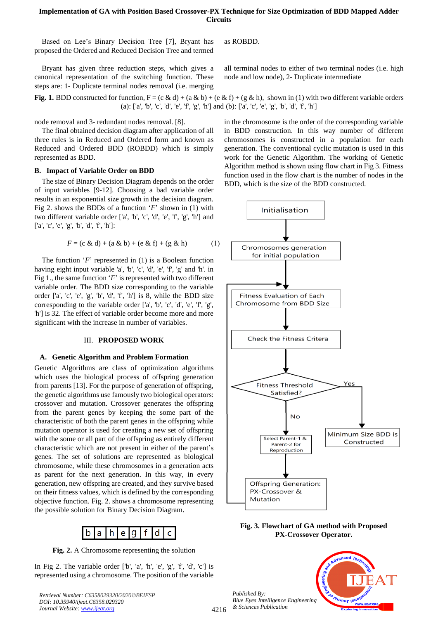## **Implementation of GA with Position Based Crossover-PX Technique for Size Optimization of BDD Mapped Adder Circuits**

Based on Lee's Binary Decision Tree [7], Bryant has proposed the Ordered and Reduced Decision Tree and termed

Bryant has given three reduction steps, which gives a canonical representation of the switching function. These steps are: 1- Duplicate terminal nodes removal (i.e. merging as ROBDD.

all terminal nodes to either of two terminal nodes (i.e. high node and low node), 2- Duplicate intermediate

**Fig. 1.** BDD constructed for function,  $F = (c \& d) + (a \& b) + (e \& f) + (g \& h)$ , shown in (1) with two different variable orders (a): ['a', 'b', 'c', 'd', 'e', 'f', 'g', 'h'] and (b): ['a', 'c', 'e', 'g', 'b', 'd', 'f', 'h']

node removal and 3- redundant nodes removal. [8].

The final obtained decision diagram after application of all three rules is in Reduced and Ordered form and known as Reduced and Ordered BDD (ROBDD) which is simply represented as BDD.

#### **B. Impact of Variable Order on BDD**

The size of Binary Decision Diagram depends on the order of input variables [9-12]. Choosing a bad variable order results in an exponential size growth in the decision diagram. Fig 2. shows the BDDs of a function '*F*' shown in (1) with two different variable order ['a', 'b', 'c', 'd', 'e', 'f', 'g', 'h'] and ['a', 'c', 'e', 'g', 'b', 'd', 'f', 'h']:

$$
F = (c \& d) + (a \& b) + (e \& f) + (g \& h)
$$
 (1)

The function '*F*' represented in (1) is a Boolean function having eight input variable 'a', 'b', 'c', 'd', 'e', 'f', 'g' and 'h'. in Fig 1., the same function '*F*' is represented with two different variable order. The BDD size corresponding to the variable order ['a', 'c', 'e', 'g', 'b', 'd', 'f', 'h'] is 8, while the BDD size corresponding to the variable order ['a', 'b', 'c', 'd', 'e', 'f', 'g', 'h'] is 32. The effect of variable order become more and more significant with the increase in number of variables.

## III. **PROPOSED WORK**

#### **A. Genetic Algorithm and Problem Formation**

Genetic Algorithms are class of optimization algorithms which uses the biological process of offspring generation from parents [13]. For the purpose of generation of offspring, the genetic algorithms use famously two biological operators: crossover and mutation. Crossover generates the offspring from the parent genes by keeping the some part of the characteristic of both the parent genes in the offspring while mutation operator is used for creating a new set of offspring with the some or all part of the offspring as entirely different characteristic which are not present in either of the parent's genes. The set of solutions are represented as biological chromosome, while these chromosomes in a generation acts as parent for the next generation. In this way, in every generation, new offspring are created, and they survive based on their fitness values, which is defined by the corresponding objective function. Fig. 2. shows a chromosome representing the possible solution for Binary Decision Diagram.



**Fig. 2.** A Chromosome representing the solution

In Fig 2. The variable order ['b', 'a', 'h', 'e', 'g', 'f', 'd', 'c'] is represented using a chromosome. The position of the variable

*Retrieval Number: C6358029320/2020©BEIESP DOI: 10.35940/ijeat.C6358.029320 Journal Website[: www.ijeat.org](http://www.ijeat.org/)*

in the chromosome is the order of the corresponding variable in BDD construction. In this way number of different chromosomes is constructed in a population for each generation. The conventional cyclic mutation is used in this work for the Genetic Algorithm. The working of Genetic Algorithm method is shown using flow chart in Fig 3. Fitness function used in the flow chart is the number of nodes in the BDD, which is the size of the BDD constructed.



**Fig. 3. Flowchart of GA method with Proposed PX-Crossover Operator.** 

*Published By: Blue Eyes Intelligence Engineering & Sciences Publication* 

4216

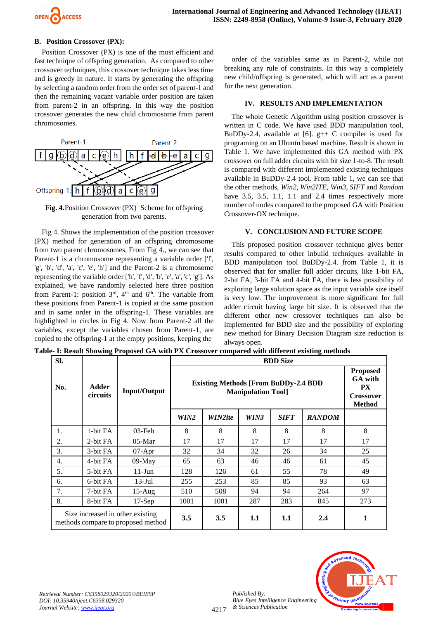

## **B. Position Crossover (PX):**

Position Crossover (PX) is one of the most efficient and fast technique of offspring generation. As compared to other crossover techniques, this crossover technique takes less time and is greedy in nature. It starts by generating the offspring by selecting a random order from the order set of parent-1 and then the remaining vacant variable order position are taken from parent-2 in an offspring. In this way the position crossover generates the new child chromosome from parent chromosomes.



**Fig. 4.**Position Crossover (PX) Scheme for offspring generation from two parents.

Fig 4. Shows the implementation of the position crossover (PX) method for generation of an offspring chromosome from two parent chromosomes. From Fig 4., we can see that Parent-1 is a chromosome representing a variable order ['f', 'g', 'b', 'd', 'a', 'c', 'e', 'h'] and the Parent-2 is a chromosome representing the variable order ['h', 'f', 'd', 'b', 'e', 'a', 'c', 'g']. As explained, we have randomly selected here three position from Parent-1: position  $3<sup>rd</sup>$ ,  $4<sup>th</sup>$  and  $6<sup>th</sup>$ . The variable from these positions from Parent-1 is copied at the same position and in same order in the offspring-1. These variables are highlighted in circles in Fig 4. Now from Parent-2 all the variables, except the variables chosen from Parent-1, are copied to the offspring-1 at the empty positions, keeping the

order of the variables same as in Parent-2, while not breaking any rule of constraints. In this way a completely new child/offspring is generated, which will act as a parent for the next generation.

## **IV. RESULTS AND IMPLEMENTATION**

The whole Genetic Algorithm using position crossover is written in C code. We have used BDD manipulation tool, BuDDy-2.4, available at [6].  $g++C$  compiler is used for programing on an Ubuntu based machine. Result is shown in Table 1. We have implemented this GA method with PX crossover on full adder circuits with bit size 1-to-8. The result is compared with different implemented existing techniques available in BuDDy-2.4 tool. From table 1, we can see that the other methods, *Win2*, *Win2ITE*, *Win3*, *SIFT* and *Random* have 3.5, 3.5, 1.1, 1.1 and 2.4 times respectively more number of nodes compared to the proposed GA with Position Crossover-OX technique.

## **V. CONCLUSION AND FUTURE SCOPE**

This proposed position crossover technique gives better results compared to other inbuild techniques available in BDD manipulation tool BuDDy-2.4. from Table 1, it is observed that for smaller full adder circuits, like 1-bit FA, 2-bit FA, 3-bit FA and 4-bit FA, there is less possibility of exploring large solution space as the input variable size itself is very low. The improvement is more significant for full adder circuit having large bit size. It is observed that the different other new crossover techniques can also be implemented for BDD size and the possibility of exploring new method for Binary Decision Diagram size reduction is always open.

**Table- I: Result Showing Proposed GA with PX Crossover compared with different existing methods**

| SI.                                                                    |                          |                     | <b>BDD</b> Size                                                          |         |      |             |               |                                                                                     |
|------------------------------------------------------------------------|--------------------------|---------------------|--------------------------------------------------------------------------|---------|------|-------------|---------------|-------------------------------------------------------------------------------------|
| No.                                                                    | <b>Adder</b><br>circuits | <b>Input/Output</b> | <b>Existing Methods [From BuDDy-2.4 BDD</b><br><b>Manipulation Tool]</b> |         |      |             |               | <b>Proposed</b><br><b>GA</b> with<br><b>PX</b><br><b>Crossover</b><br><b>Method</b> |
|                                                                        |                          |                     | WIN2                                                                     | WIN2ite | WIN3 | <b>SIFT</b> | <b>RANDOM</b> |                                                                                     |
| 1.                                                                     | 1-bit FA                 | $03$ -Feb           | 8                                                                        | 8       | 8    | 8           | 8             | 8                                                                                   |
| $\overline{2}$ .                                                       | 2-bit FA                 | $05-Mar$            | 17                                                                       | 17      | 17   | 17          | 17            | 17                                                                                  |
| 3.                                                                     | 3-bit FA                 | $07-Apr$            | 32                                                                       | 34      | 32   | 26          | 34            | 25                                                                                  |
| 4.                                                                     | 4-bit FA                 | $09-May$            | 65                                                                       | 63      | 46   | 46          | 61            | 45                                                                                  |
| 5.                                                                     | 5-bit FA                 | $11-Jun$            | 128                                                                      | 126     | 61   | 55          | 78            | 49                                                                                  |
| 6.                                                                     | 6-bit FA                 | $13$ -Jul           | 255                                                                      | 253     | 85   | 85          | 93            | 63                                                                                  |
| 7.                                                                     | 7-bit FA                 | $15-Aug$            | 510                                                                      | 508     | 94   | 94          | 264           | 97                                                                                  |
| 8.                                                                     | 8-bit FA                 | $17-Sep$            | 1001                                                                     | 1001    | 287  | 283         | 845           | 273                                                                                 |
| Size increased in other existing<br>methods compare to proposed method |                          |                     | 3.5                                                                      | 3.5     | 1.1  | 1.1         | 2.4           | 1                                                                                   |